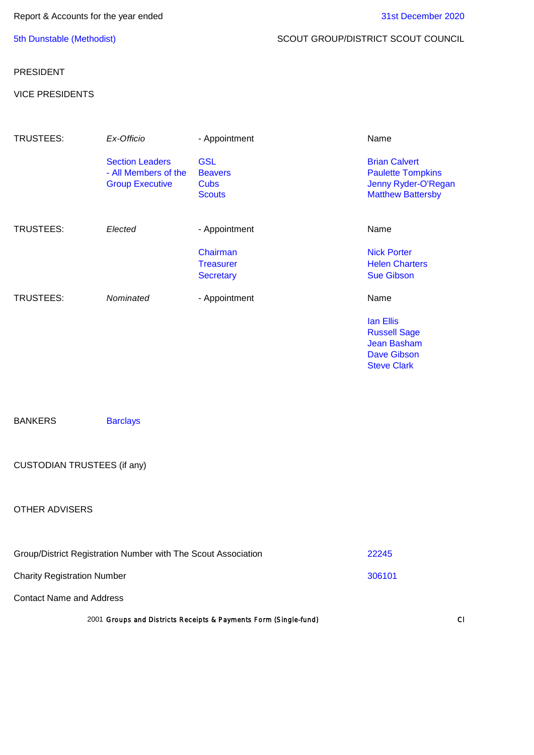## 5th Dunstable (Methodist) SCOUT GROUP/DISTRICT SCOUT COUNCIL

## PRESIDENT

## VICE PRESIDENTS

| TRUSTEES: | Ex-Officio                                                               | - Appointment                                         | Name                                                                                                |
|-----------|--------------------------------------------------------------------------|-------------------------------------------------------|-----------------------------------------------------------------------------------------------------|
|           | <b>Section Leaders</b><br>- All Members of the<br><b>Group Executive</b> | <b>GSL</b><br><b>Beavers</b><br>Cubs<br><b>Scouts</b> | <b>Brian Calvert</b><br><b>Paulette Tompkins</b><br>Jenny Ryder-O'Regan<br><b>Matthew Battersby</b> |
| TRUSTEES: | Elected                                                                  | - Appointment                                         | Name                                                                                                |
|           |                                                                          | Chairman                                              | <b>Nick Porter</b>                                                                                  |
|           |                                                                          | <b>Treasurer</b>                                      | <b>Helen Charters</b>                                                                               |
|           |                                                                          | <b>Secretary</b>                                      | <b>Sue Gibson</b>                                                                                   |
| TRUSTEES: | Nominated                                                                | - Appointment                                         | Name                                                                                                |
|           |                                                                          |                                                       | lan Ellis                                                                                           |
|           |                                                                          |                                                       | <b>Russell Sage</b>                                                                                 |
|           |                                                                          |                                                       | <b>Jean Basham</b>                                                                                  |
|           |                                                                          |                                                       | <b>Dave Gibson</b>                                                                                  |
|           |                                                                          |                                                       | <b>Steve Clark</b>                                                                                  |

BANKERS Barclays

# CUSTODIAN TRUSTEES (if any)

## OTHER ADVISERS

| Group/District Registration Number with The Scout Association    | 22245  |
|------------------------------------------------------------------|--------|
| <b>Charity Registration Number</b>                               | 306101 |
| <b>Contact Name and Address</b>                                  |        |
| 2001 Groups and Districts Receipts & Payments Form (Single-fund) | $\cap$ |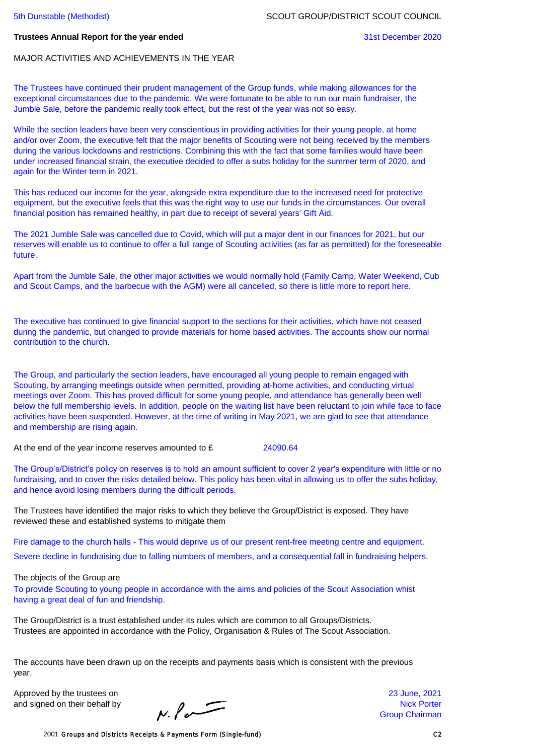#### **Trustees Annual Report for the year ended** 31st December 2020

MAJOR ACTIVITIES AND ACHIEVEMENTS IN THE YEAR

The Trustees have continued their prudent management of the Group funds, while making allowances for the exceptional circumstances due to the pandemic. We were fortunate to be able to run our main fundraiser, the Jumble Sale, before the pandemic really took effect, but the rest of the year was not so easy.

While the section leaders have been very conscientious in providing activities for their young people, at home and/or over Zoom, the executive felt that the major benefits of Scouting were not being received by the members during the various lockdowns and restrictions. Combining this with the fact that some families would have been under increased financial strain, the executive decided to offer a subs holiday for the summer term of 2020, and again for the Winter term in 2021.

This has reduced our income for the year, alongside extra expenditure due to the increased need for protective equipment, but the executive feels that this was the right way to use our funds in the circumstances. Our overall financial position has remained healthy, in part due to receipt of several years' Gift Aid.

The 2021 Jumble Sale was cancelled due to Covid, which will put a major dent in our finances for 2021, but our reserves will enable us to continue to offer a full range of Scouting activities (as far as permitted) for the foreseeable future.

Apart from the Jumble Sale, the other major activities we would normally hold (Family Camp, Water Weekend, Cub and Scout Camps, and the barbecue with the AGM) were all cancelled, so there is little more to report here.

The executive has continued to give financial support to the sections for their activities, which have not ceased during the pandemic, but changed to provide materials for home based activities. The accounts show our normal contribution to the church.

The Group, and particularly the section leaders, have encouraged all young people to remain engaged with Scouting, by arranging meetings outside when permitted, providing at-home activities, and conducting virtual meetings over Zoom. This has proved difficult for some young people, and attendance has generally been well below the full membership levels. In addition, people on the waiting list have been reluctant to join while face to face activities have been suspended. However, at the time of writing in May 2021, we are glad to see that attendance and membership are rising again.

At the end of the year income reserves amounted to £ 24090.64

The Group's/District's policy on reserves is to hold an amount sufficient to cover 2 year's expenditure with little or no fundraising, and to cover the risks detailed below. This policy has been vital in allowing us to offer the subs holiday, and hence avoid losing members during the difficult periods.

The Trustees have identified the major risks to which they believe the Group/District is exposed. They have reviewed these and established systems to mitigate them

Fire damage to the church halls - This would deprive us of our present rent-free meeting centre and equipment. Severe decline in fundraising due to falling numbers of members, and a consequential fall in fundraising helpers.

The objects of the Group are

To provide Scouting to young people in accordance with the aims and policies of the Scout Association whist having a great deal of fun and friendship.

The Group/District is a trust established under its rules which are common to all Groups/Districts. Trustees are appointed in accordance with the Policy, Organisation & Rules of The Scout Association.

The accounts have been drawn up on the receipts and payments basis which is consistent with the previous year.

Approved by the trustees on 23 June, 2021

and signed on their behalf by  $\blacksquare$ <br>  $\blacksquare$  Nick Porter Group Chairman

Group Chairman

2001 Groups and Districts Receipts & Payments Form (Single-fund) C2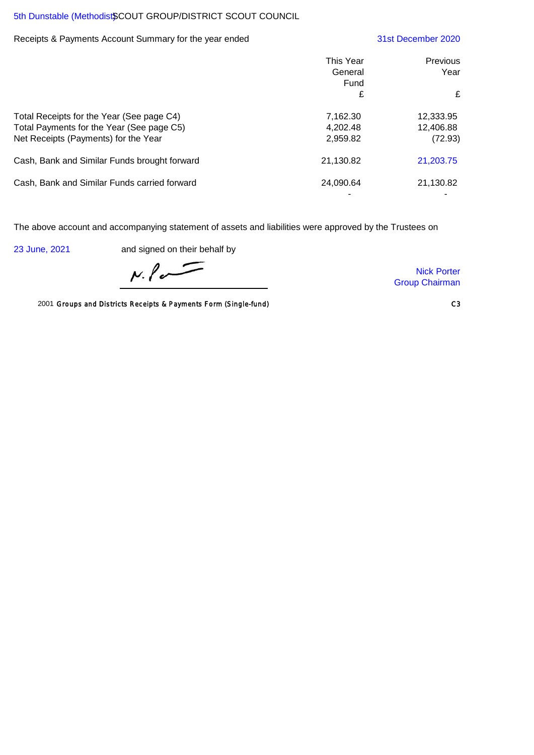## 5th Dunstable (Methodist\$COUT GROUP/DISTRICT SCOUT COUNCIL

### Receipts & Payments Account Summary for the year ended 31st December 2020

|                                                                                                                                | This Year<br>General<br>Fund     | Previous<br>Year                  |
|--------------------------------------------------------------------------------------------------------------------------------|----------------------------------|-----------------------------------|
|                                                                                                                                | £                                | £                                 |
| Total Receipts for the Year (See page C4)<br>Total Payments for the Year (See page C5)<br>Net Receipts (Payments) for the Year | 7,162.30<br>4,202.48<br>2,959.82 | 12,333.95<br>12,406.88<br>(72.93) |
| Cash, Bank and Similar Funds brought forward                                                                                   | 21,130.82                        | 21,203.75                         |
| Cash, Bank and Similar Funds carried forward                                                                                   | 24,090.64                        | 21,130.82                         |

The above account and accompanying statement of assets and liabilities were approved by the Trustees on

23 June, 2021 and signed on their behalf by

 $N.\ell$ 

2001 Groups and Districts Receipts & Payments Form (Single-fund) C3

Nick Porter Group Chairman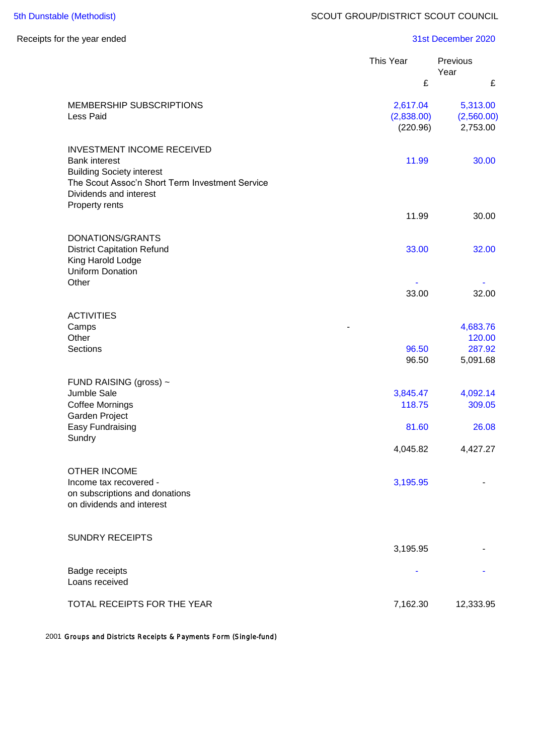# Receipts for the year ended 31st December 2020

|                                                                                                                                                  | This Year                          | Previous<br>Year                   |
|--------------------------------------------------------------------------------------------------------------------------------------------------|------------------------------------|------------------------------------|
|                                                                                                                                                  | £                                  | £                                  |
| <b>MEMBERSHIP SUBSCRIPTIONS</b><br>Less Paid                                                                                                     | 2,617.04<br>(2,838.00)<br>(220.96) | 5,313.00<br>(2,560.00)<br>2,753.00 |
| <b>INVESTMENT INCOME RECEIVED</b><br><b>Bank interest</b><br><b>Building Society interest</b><br>The Scout Assoc'n Short Term Investment Service | 11.99                              | 30.00                              |
| Dividends and interest<br>Property rents                                                                                                         | 11.99                              | 30.00                              |
|                                                                                                                                                  |                                    |                                    |
| DONATIONS/GRANTS<br><b>District Capitation Refund</b><br>King Harold Lodge<br><b>Uniform Donation</b>                                            | 33.00                              | 32.00                              |
| Other                                                                                                                                            | 33.00                              | 32.00                              |
| <b>ACTIVITIES</b><br>Camps<br>Other                                                                                                              |                                    | 4,683.76<br>120.00                 |
| Sections                                                                                                                                         | 96.50<br>96.50                     | 287.92<br>5,091.68                 |
| FUND RAISING (gross) ~                                                                                                                           |                                    |                                    |
| Jumble Sale<br><b>Coffee Mornings</b><br>Garden Project                                                                                          | 3,845.47<br>118.75                 | 4,092.14<br>309.05                 |
| Easy Fundraising<br>Sundry                                                                                                                       | 81.60                              | 26.08                              |
|                                                                                                                                                  | 4,045.82                           | 4,427.27                           |
| <b>OTHER INCOME</b><br>Income tax recovered -<br>on subscriptions and donations<br>on dividends and interest                                     | 3,195.95                           |                                    |
| <b>SUNDRY RECEIPTS</b>                                                                                                                           | 3,195.95                           |                                    |
| Badge receipts<br>Loans received                                                                                                                 |                                    |                                    |
| TOTAL RECEIPTS FOR THE YEAR                                                                                                                      | 7,162.30                           | 12,333.95                          |

2001 Groups and Districts Receipts & Payments Form (Single-fund)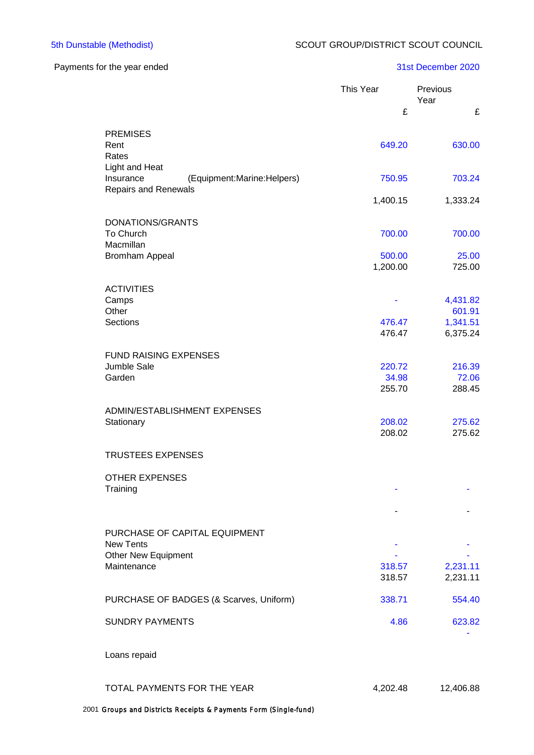## Payments for the year ended 31st December 2020

|                                                                                          | This Year<br>£   | Previous<br>Year<br>£ |
|------------------------------------------------------------------------------------------|------------------|-----------------------|
|                                                                                          |                  |                       |
| <b>PREMISES</b><br>Rent<br>Rates                                                         | 649.20           | 630.00                |
| Light and Heat<br>(Equipment:Marine:Helpers)<br>Insurance<br><b>Repairs and Renewals</b> | 750.95           | 703.24                |
|                                                                                          | 1,400.15         | 1,333.24              |
| DONATIONS/GRANTS                                                                         |                  |                       |
| To Church                                                                                | 700.00           | 700.00                |
| Macmillan<br><b>Bromham Appeal</b>                                                       | 500.00           | 25.00                 |
|                                                                                          | 1,200.00         | 725.00                |
| <b>ACTIVITIES</b>                                                                        |                  |                       |
| Camps                                                                                    |                  | 4,431.82              |
| Other<br><b>Sections</b>                                                                 | 476.47           | 601.91<br>1,341.51    |
|                                                                                          | 476.47           | 6,375.24              |
| <b>FUND RAISING EXPENSES</b>                                                             |                  |                       |
| Jumble Sale                                                                              | 220.72           | 216.39                |
| Garden                                                                                   | 34.98            | 72.06                 |
|                                                                                          | 255.70           | 288.45                |
| ADMIN/ESTABLISHMENT EXPENSES                                                             |                  |                       |
| Stationary                                                                               | 208.02<br>208.02 | 275.62<br>275.62      |
|                                                                                          |                  |                       |
| <b>TRUSTEES EXPENSES</b>                                                                 |                  |                       |
| <b>OTHER EXPENSES</b>                                                                    |                  |                       |
| Training                                                                                 |                  |                       |
|                                                                                          |                  |                       |
| PURCHASE OF CAPITAL EQUIPMENT                                                            |                  |                       |
| <b>New Tents</b>                                                                         |                  |                       |
| <b>Other New Equipment</b>                                                               |                  |                       |
| Maintenance                                                                              | 318.57<br>318.57 | 2,231.11<br>2,231.11  |
|                                                                                          |                  |                       |
| PURCHASE OF BADGES (& Scarves, Uniform)                                                  | 338.71           | 554.40                |
| <b>SUNDRY PAYMENTS</b>                                                                   | 4.86             | 623.82                |
| Loans repaid                                                                             |                  |                       |
|                                                                                          |                  |                       |
| TOTAL PAYMENTS FOR THE YEAR                                                              | 4,202.48         | 12,406.88             |

2001 Groups and Districts Receipts & Payments Form (Single-fund)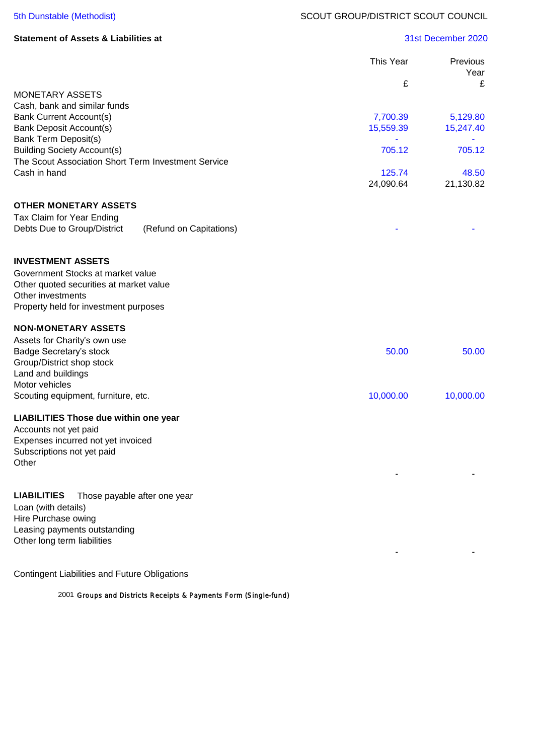| <b>Statement of Assets &amp; Liabilities at</b> |  |  |  |
|-------------------------------------------------|--|--|--|
|-------------------------------------------------|--|--|--|

### **Statement of Assets & Liabilities at** 31st December 2020

|                                                                                     | This Year | Previous<br>Year |
|-------------------------------------------------------------------------------------|-----------|------------------|
|                                                                                     | £         | £                |
| <b>MONETARY ASSETS</b>                                                              |           |                  |
| Cash, bank and similar funds<br><b>Bank Current Account(s)</b>                      | 7,700.39  | 5,129.80         |
| <b>Bank Deposit Account(s)</b>                                                      | 15,559.39 | 15,247.40        |
| <b>Bank Term Deposit(s)</b>                                                         |           |                  |
| <b>Building Society Account(s)</b>                                                  | 705.12    | 705.12           |
| The Scout Association Short Term Investment Service<br>Cash in hand                 | 125.74    | 48.50            |
|                                                                                     | 24,090.64 | 21,130.82        |
|                                                                                     |           |                  |
| <b>OTHER MONETARY ASSETS</b>                                                        |           |                  |
| Tax Claim for Year Ending<br>Debts Due to Group/District<br>(Refund on Capitations) |           |                  |
|                                                                                     |           |                  |
|                                                                                     |           |                  |
| <b>INVESTMENT ASSETS</b>                                                            |           |                  |
| Government Stocks at market value                                                   |           |                  |
| Other quoted securities at market value<br>Other investments                        |           |                  |
| Property held for investment purposes                                               |           |                  |
|                                                                                     |           |                  |
| <b>NON-MONETARY ASSETS</b>                                                          |           |                  |
| Assets for Charity's own use<br>Badge Secretary's stock                             | 50.00     | 50.00            |
| Group/District shop stock                                                           |           |                  |
| Land and buildings                                                                  |           |                  |
| Motor vehicles                                                                      |           |                  |
| Scouting equipment, furniture, etc.                                                 | 10,000.00 | 10,000.00        |
| <b>LIABILITIES Those due within one year</b>                                        |           |                  |
| Accounts not yet paid                                                               |           |                  |
| Expenses incurred not yet invoiced                                                  |           |                  |
| Subscriptions not yet paid<br>Other                                                 |           |                  |
|                                                                                     |           |                  |
|                                                                                     |           |                  |
| <b>LIABILITIES</b><br>Those payable after one year                                  |           |                  |
| Loan (with details)                                                                 |           |                  |
| Hire Purchase owing<br>Leasing payments outstanding                                 |           |                  |
| Other long term liabilities                                                         |           |                  |
|                                                                                     |           |                  |
|                                                                                     |           |                  |

Contingent Liabilities and Future Obligations

2001 Groups and Districts Receipts & Payments Form (Single-fund)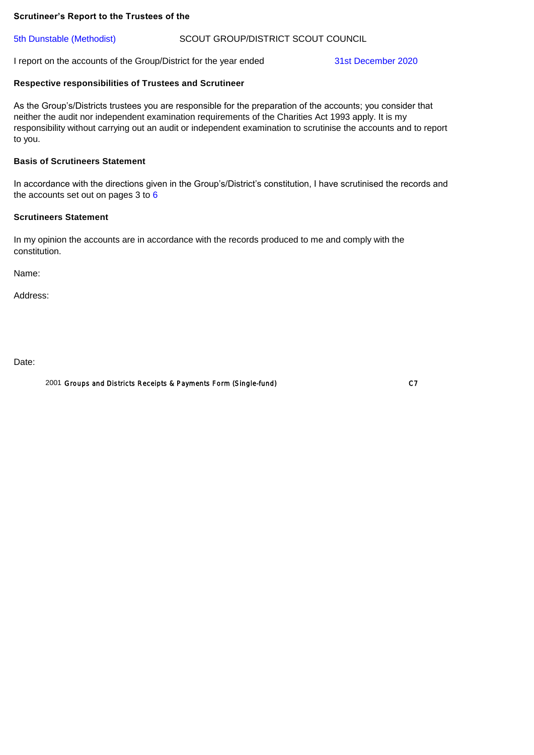#### **Scrutineer's Report to the Trustees of the**

#### 5th Dunstable (Methodist) SCOUT GROUP/DISTRICT SCOUT COUNCIL

I report on the accounts of the Group/District for the year ended 31st December 2020

## **Respective responsibilities of Trustees and Scrutineer**

As the Group's/Districts trustees you are responsible for the preparation of the accounts; you consider that neither the audit nor independent examination requirements of the Charities Act 1993 apply. It is my responsibility without carrying out an audit or independent examination to scrutinise the accounts and to report to you.

#### **Basis of Scrutineers Statement**

In accordance with the directions given in the Group's/District's constitution, I have scrutinised the records and the accounts set out on pages 3 to 6

### **Scrutineers Statement**

In my opinion the accounts are in accordance with the records produced to me and comply with the constitution.

Name:

Address:

Date:

2001 Groups and Districts Receipts & Payments Form (Single-fund) C7